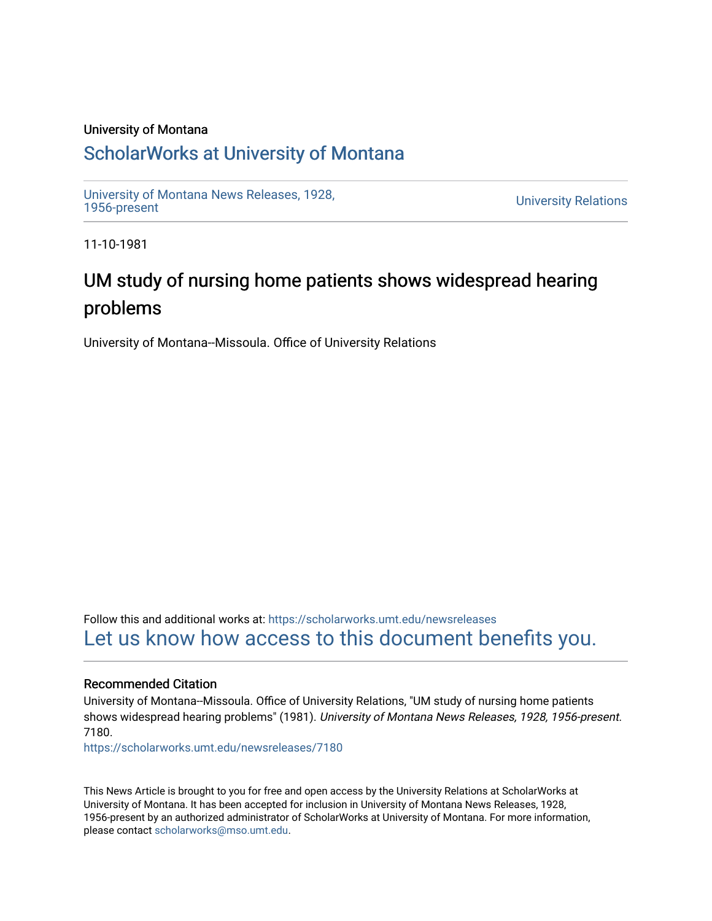### University of Montana

## [ScholarWorks at University of Montana](https://scholarworks.umt.edu/)

[University of Montana News Releases, 1928,](https://scholarworks.umt.edu/newsreleases) 

**University Relations** 

11-10-1981

# UM study of nursing home patients shows widespread hearing problems

University of Montana--Missoula. Office of University Relations

Follow this and additional works at: [https://scholarworks.umt.edu/newsreleases](https://scholarworks.umt.edu/newsreleases?utm_source=scholarworks.umt.edu%2Fnewsreleases%2F7180&utm_medium=PDF&utm_campaign=PDFCoverPages) [Let us know how access to this document benefits you.](https://goo.gl/forms/s2rGfXOLzz71qgsB2) 

### Recommended Citation

University of Montana--Missoula. Office of University Relations, "UM study of nursing home patients shows widespread hearing problems" (1981). University of Montana News Releases, 1928, 1956-present. 7180.

[https://scholarworks.umt.edu/newsreleases/7180](https://scholarworks.umt.edu/newsreleases/7180?utm_source=scholarworks.umt.edu%2Fnewsreleases%2F7180&utm_medium=PDF&utm_campaign=PDFCoverPages) 

This News Article is brought to you for free and open access by the University Relations at ScholarWorks at University of Montana. It has been accepted for inclusion in University of Montana News Releases, 1928, 1956-present by an authorized administrator of ScholarWorks at University of Montana. For more information, please contact [scholarworks@mso.umt.edu.](mailto:scholarworks@mso.umt.edu)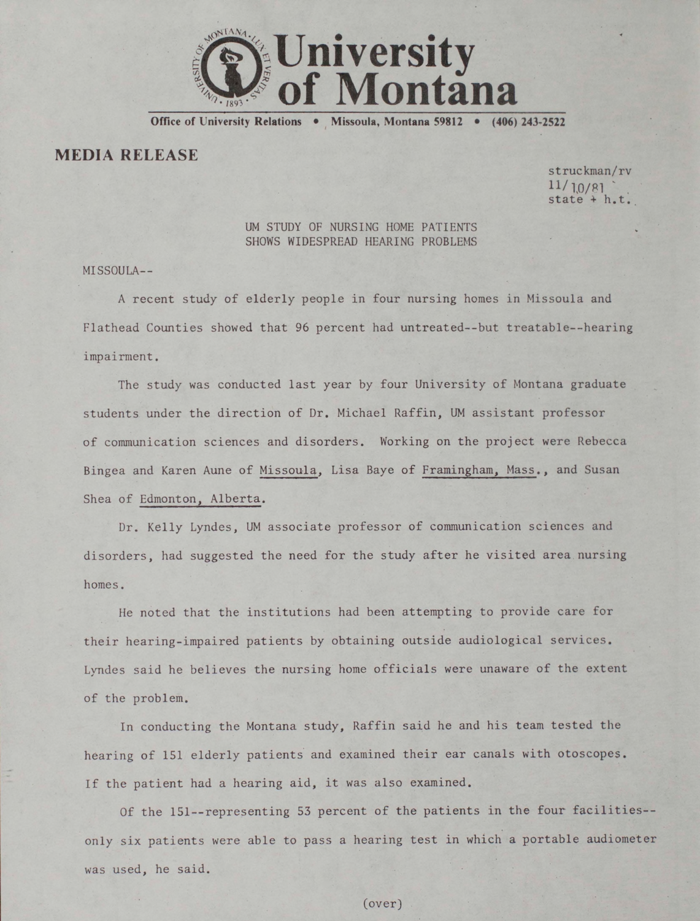

**Office of University Relations • Missoula, Montana 59812 • (406) 243-2522**

**MEDIA RELEASE**

struckman/rv  $11/10/81$ state + h.t.

#### UM STUDY OF NURSING HOME PATIENTS SHOWS WIDESPREAD HEARING PROBLEMS

MISSOULA--

A recent study of elderly people in four nursing homes in Missoula and Flathead Counties showed that 96 percent had untreated--but treatable-~hearing impairment.

The study was conducted last year by four University of Montana graduate students under the direction of Dr. Michael Raffin, UM assistant professor of communication sciences and disorders. Working on the project were Rebecca Bingea and Karen Aune of Missoula, Lisa Baye of Framingham, Mass., and Susan Shea of Edmonton, Alberta.

Dr. Kelly Lyndes, UM associate professor of communication sciences and disorders, had suggested the need for the study after he visited area nursing homes.

He noted that the institutions had been attempting to provide care for their hearing-impaired patients by obtaining outside audiological services. Lyndes said he believes the nursing home officials were unaware of the extent of the problem.

In conducting the Montana study, Raffin said he and his team tested the hearing of 151 elderly patients and examined their ear canals with otoscopes. If the patient had a hearing aid, it was also examined.

Of the 151--representing 53 percent of the patients in the four facilities-only six patients were able to pass a hearing test in which a portable audiometer was used, he said.